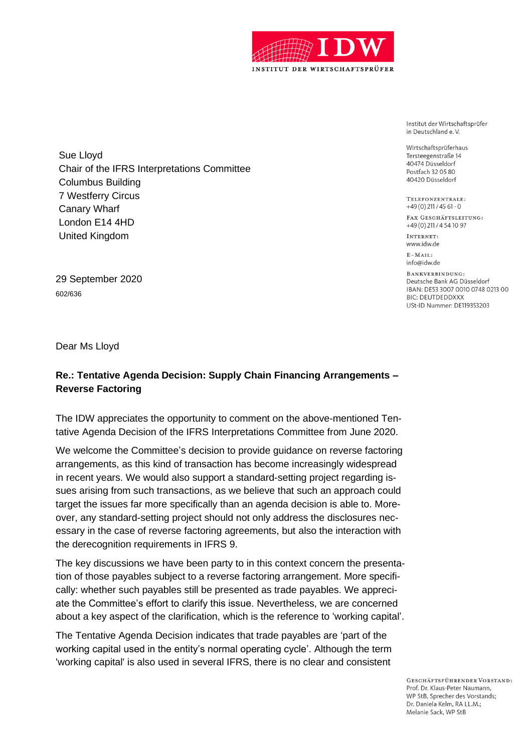

Institut der Wirtschaftsprüfer in Deutschland e.V.

Wirtschaftsprüferhaus Tersteegenstraße 14 40474 Düsseldorf Postfach 32 05 80 40420 Düsseldorf

TELEFONZENTRALE:  $+49(0)$  211/45 61 - 0

FAX GESCHÄFTSLEITUNG: +49(0)211/4541097

INTERNET: www.idw.de

 $F - MATI$ info@idw.de

BANKVERBINDUNG: Deutsche Bank AG Düsseldorf IBAN: DE53 3007 0010 0748 0213 00 **BIC: DEUTDEDDXXX** USt-ID Nummer: DE119353203

Sue Lloyd Chair of the IFRS Interpretations Committee Columbus Building 7 Westferry Circus Canary Wharf London E14 4HD United Kingdom

29 September 2020 602/636

Dear Ms Lloyd

## **Re.: Tentative Agenda Decision: Supply Chain Financing Arrangements – Reverse Factoring**

The IDW appreciates the opportunity to comment on the above-mentioned Tentative Agenda Decision of the IFRS Interpretations Committee from June 2020.

We welcome the Committee's decision to provide guidance on reverse factoring arrangements, as this kind of transaction has become increasingly widespread in recent years. We would also support a standard-setting project regarding issues arising from such transactions, as we believe that such an approach could target the issues far more specifically than an agenda decision is able to. Moreover, any standard-setting project should not only address the disclosures necessary in the case of reverse factoring agreements, but also the interaction with the derecognition requirements in IFRS 9.

The key discussions we have been party to in this context concern the presentation of those payables subject to a reverse factoring arrangement. More specifically: whether such payables still be presented as trade payables. We appreciate the Committee's effort to clarify this issue. Nevertheless, we are concerned about a key aspect of the clarification, which is the reference to 'working capital'.

The Tentative Agenda Decision indicates that trade payables are 'part of the working capital used in the entity's normal operating cycle'. Although the term 'working capital' is also used in several IFRS, there is no clear and consistent

> GESCHÄFTSFÜHRENDER VORSTAND: Prof. Dr. Klaus-Peter Naumann. WP StB, Sprecher des Vorstands; Dr. Daniela Kelm, RA LL.M.; Melanie Sack, WP StB